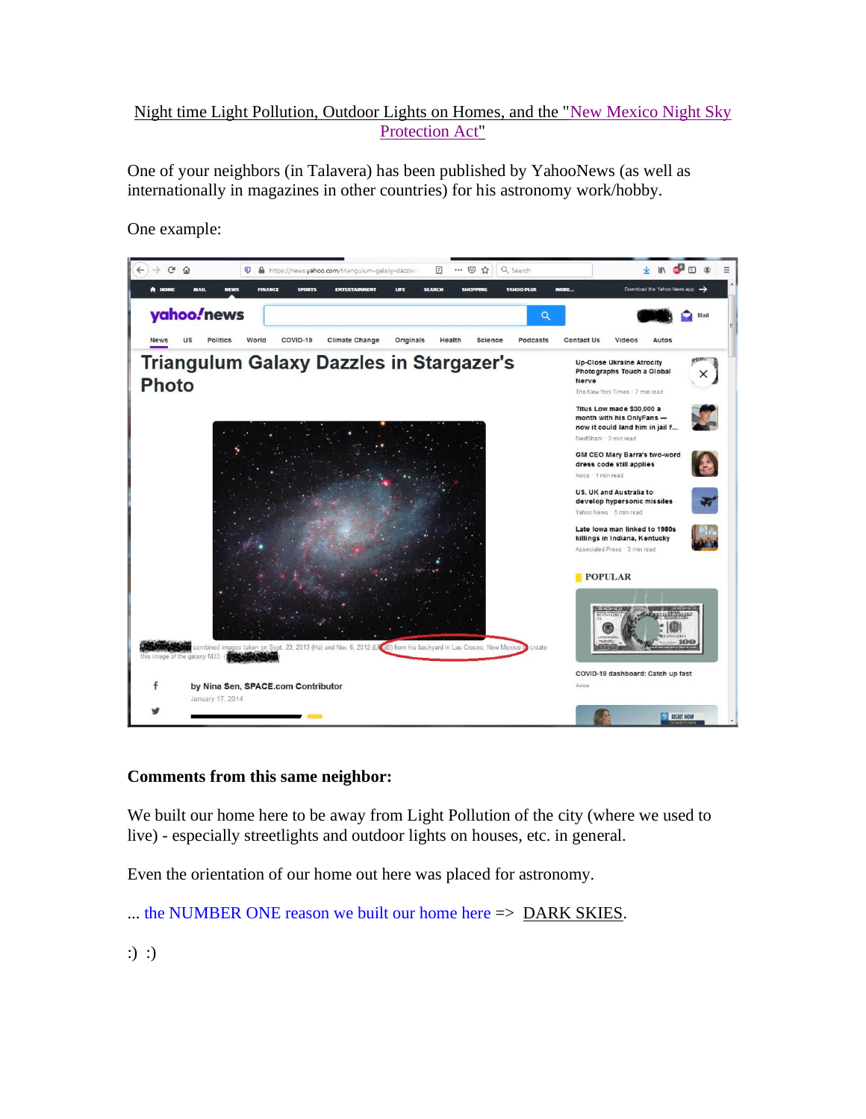# Night time Light Pollution, Outdoor Lights on Homes, and the ["New Mexico Night Sky](https://talaveraca.org/wp-content/posts/LightingGuideNM.pdf)  [Protection Act"](https://talaveraca.org/wp-content/posts/LightingGuideNM.pdf)

One of your neighbors (in Talavera) has been published by YahooNews (as well as internationally in magazines in other countries) for his astronomy work/hobby.

One example:



# **Comments from this same neighbor:**

We built our home here to be away from Light Pollution of the city (where we used to live) - especially streetlights and outdoor lights on houses, etc. in general.

Even the orientation of our home out here was placed for astronomy.

... the NUMBER ONE reason we built our home here => DARK SKIES.

:) :)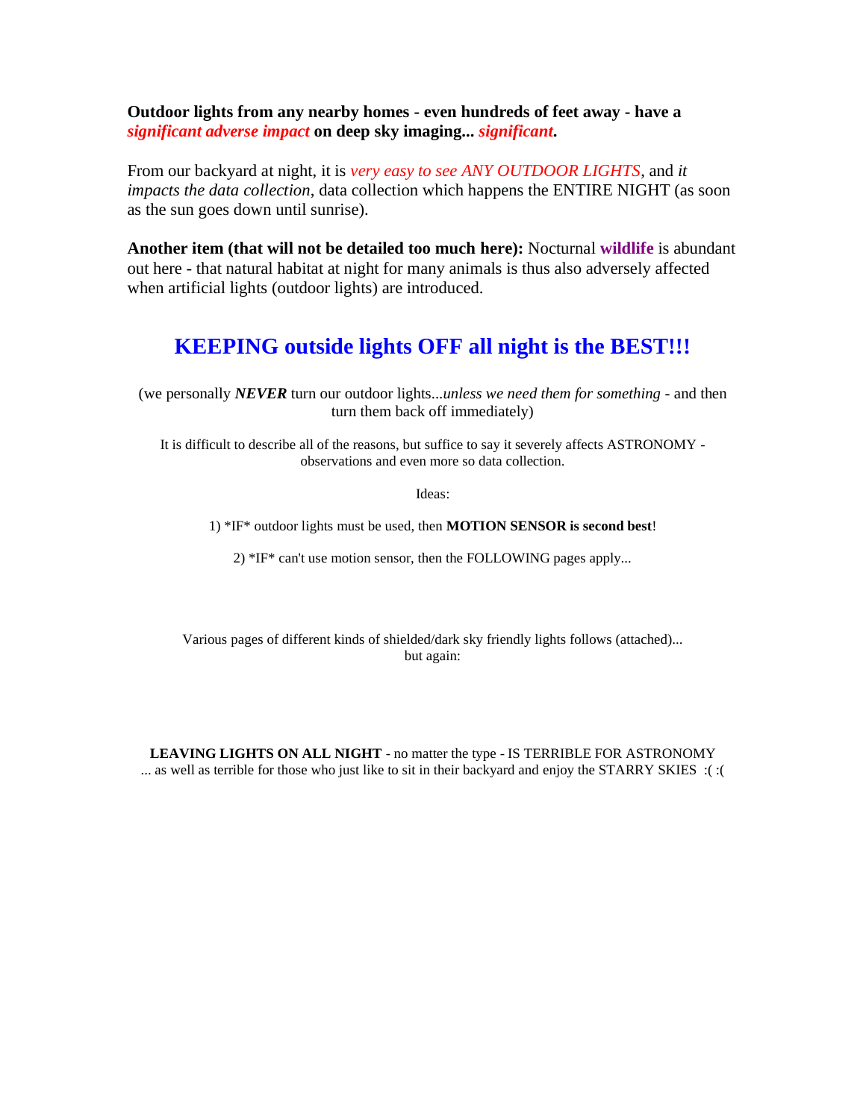**Outdoor lights from any nearby homes - even hundreds of feet away - have a**  *significant adverse impact* **on deep sky imaging...** *significant***.**

From our backyard at night, it is *very easy to see ANY OUTDOOR LIGHTS*, and *it impacts the data collection*, data collection which happens the ENTIRE NIGHT (as soon as the sun goes down until sunrise).

**Another item (that will not be detailed too much here):** Nocturnal **wildlife** is abundant out here - that natural habitat at night for many animals is thus also adversely affected when artificial lights (outdoor lights) are introduced.

# **KEEPING outside lights OFF all night is the BEST!!!**

(we personally *NEVER* turn our outdoor lights...*unless we need them for something* - and then turn them back off immediately)

It is difficult to describe all of the reasons, but suffice to say it severely affects ASTRONOMY observations and even more so data collection.

Ideas:

1) \*IF\* outdoor lights must be used, then **MOTION SENSOR is second best**!

2) \*IF\* can't use motion sensor, then the FOLLOWING pages apply...

Various pages of different kinds of shielded/dark sky friendly lights follows (attached)... but again:

**LEAVING LIGHTS ON ALL NIGHT** - no matter the type - IS TERRIBLE FOR ASTRONOMY ... as well as terrible for those who just like to sit in their backyard and enjoy the STARRY SKIES :( :(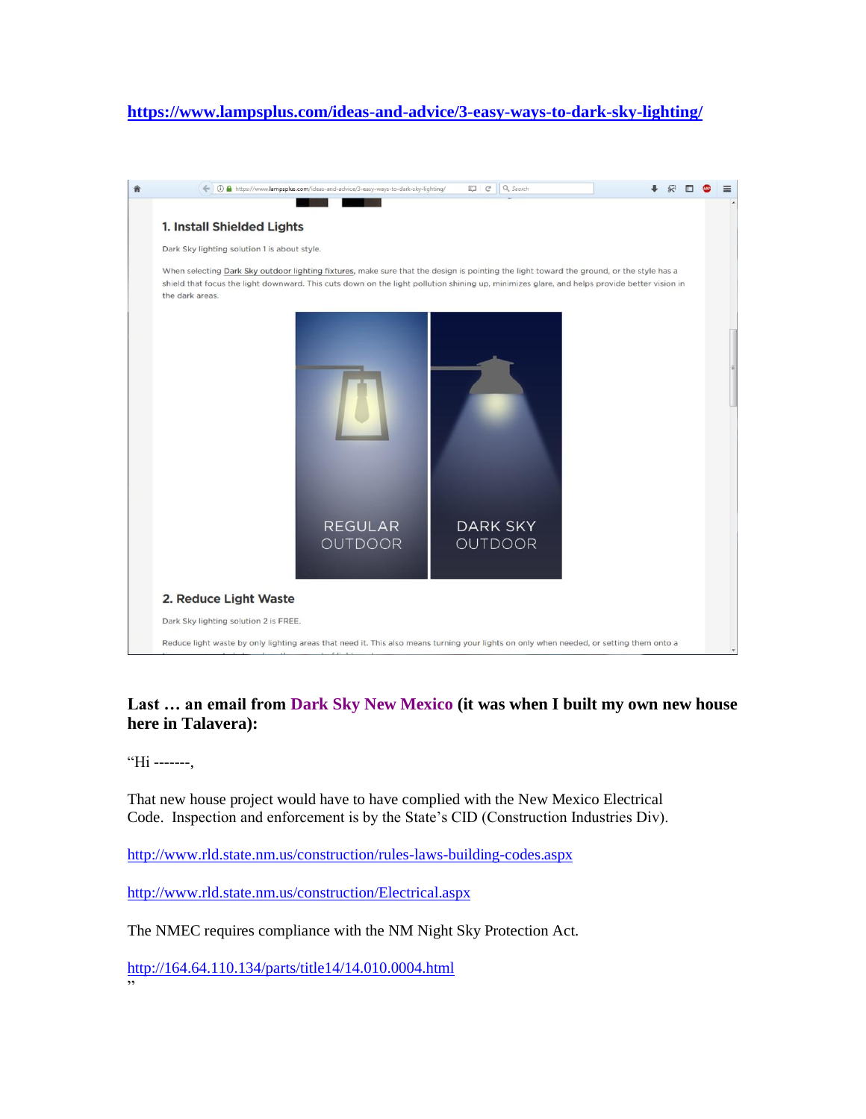## **<https://www.lampsplus.com/ideas-and-advice/3-easy-ways-to-dark-sky-lighting/>**



### **Last … an email from Dark Sky New Mexico (it was when I built my own new house here in Talavera):**

"Hi -------,

That new house project would have to have complied with the New Mexico Electrical Code. Inspection and enforcement is by the State's CID (Construction Industries Div).

<http://www.rld.state.nm.us/construction/rules-laws-building-codes.aspx>

<http://www.rld.state.nm.us/construction/Electrical.aspx>

The NMEC requires compliance with the NM Night Sky Protection Act.

<http://164.64.110.134/parts/title14/14.010.0004.html> "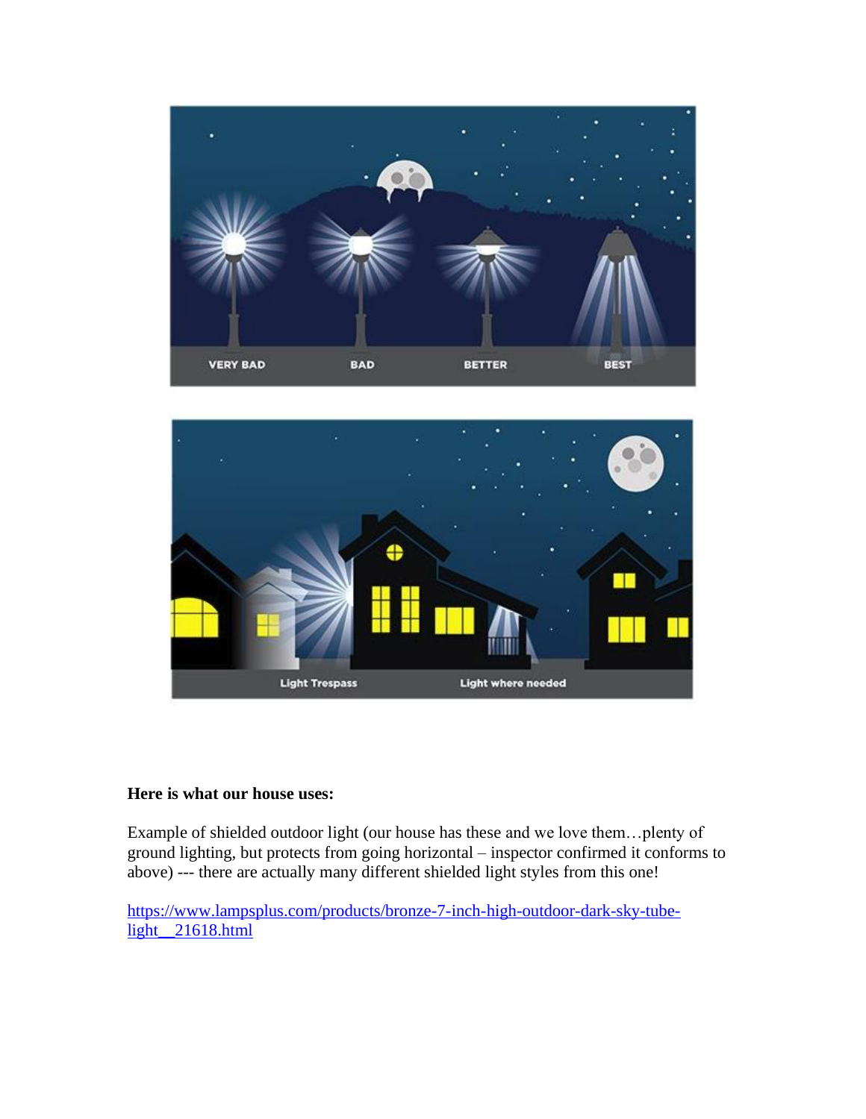



### **Here is what our house uses:**

Example of shielded outdoor light (our house has these and we love them…plenty of ground lighting, but protects from going horizontal – inspector confirmed it conforms to above) --- there are actually many different shielded light styles from this one!

[https://www.lampsplus.com/products/bronze-7-inch-high-outdoor-dark-sky-tube](https://www.lampsplus.com/products/bronze-7-inch-high-outdoor-dark-sky-tube-light__21618.html)[light\\_\\_21618.html](https://www.lampsplus.com/products/bronze-7-inch-high-outdoor-dark-sky-tube-light__21618.html)